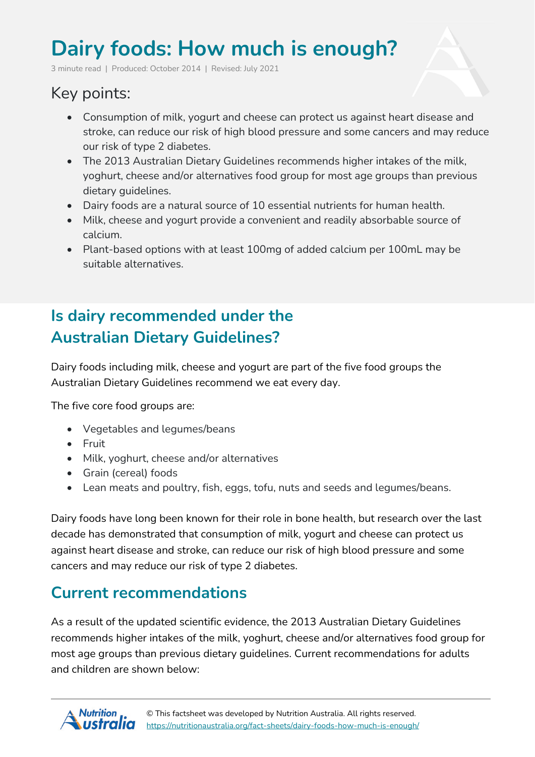# **Dairy foods: How much is enough?**

3 minute read | Produced: October 2014 | Revised: July 2021

## Key points:

- Consumption of milk, yogurt and cheese can protect us against heart disease and stroke, can reduce our risk of high blood pressure and some cancers and may reduce our risk of type 2 diabetes.
- The 2013 Australian Dietary Guidelines recommends higher intakes of the milk, yoghurt, cheese and/or alternatives food group for most age groups than previous dietary guidelines.
- Dairy foods are a natural source of 10 essential nutrients for human health.
- Milk, cheese and yogurt provide a convenient and readily absorbable source of calcium.
- Plant-based options with at least 100mg of added calcium per 100mL may be suitable alternatives.

# **Is dairy recommended under the Australian Dietary Guidelines?**

Dairy foods including milk, cheese and yogurt are part of the five food groups the Australian Dietary Guidelines recommend we eat every day.

The five core food groups are:

- Vegetables and legumes/beans
- Fruit
- Milk, yoghurt, cheese and/or alternatives
- Grain (cereal) foods
- Lean meats and poultry, fish, eggs, tofu, nuts and seeds and legumes/beans.

Dairy foods have long been known for their role in bone health, but research over the last decade has demonstrated that consumption of milk, yogurt and cheese can protect us against heart disease and stroke, can reduce our risk of high blood pressure and some cancers and may reduce our risk of type 2 diabetes.

#### **Current recommendations**

As a result of the updated scientific evidence, the 2013 Australian Dietary Guidelines recommends higher intakes of the milk, yoghurt, cheese and/or alternatives food group for most age groups than previous dietary guidelines. Current recommendations for adults and children are shown below:

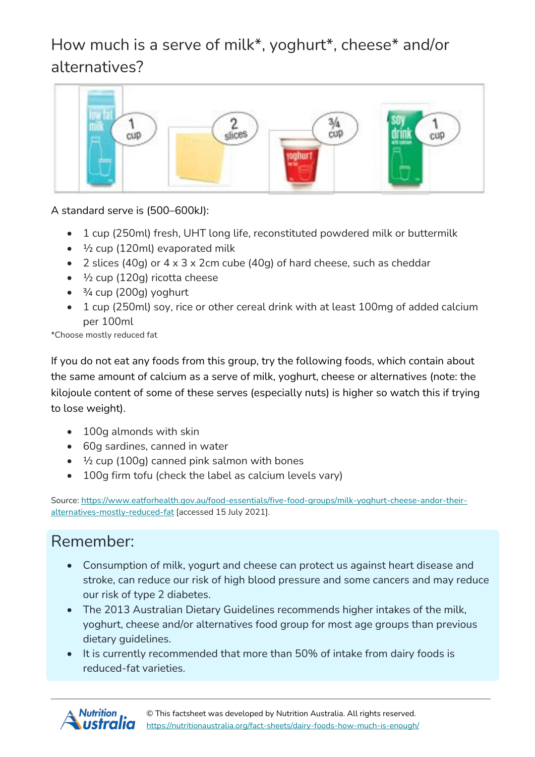# How much is a serve of milk\*, yoghurt\*, cheese\* and/or alternatives?



A standard serve is (500–600kJ):

- 1 cup (250ml) fresh, UHT long life, reconstituted powdered milk or buttermilk
- $\bullet$   $\frac{1}{2}$  cup (120ml) evaporated milk
- 2 slices (40g) or 4 x 3 x 2cm cube (40g) of hard cheese, such as cheddar
- $\bullet$   $\frac{1}{2}$  cup (120g) ricotta cheese
- $\cdot$   $\frac{3}{4}$  cup (200g) yoghurt
- 1 cup (250ml) soy, rice or other cereal drink with at least 100mg of added calcium per 100ml

\*Choose mostly reduced fat

If you do not eat any foods from this group, try the following foods, which contain about the same amount of calcium as a serve of milk, yoghurt, cheese or alternatives (note: the kilojoule content of some of these serves (especially nuts) is higher so watch this if trying to lose weight).

- 100g almonds with skin
- 60g sardines, canned in water
- $\cdot$   $\frac{1}{2}$  cup (100g) canned pink salmon with bones
- 100g firm tofu (check the label as calcium levels vary)

Source: [https://www.eatforhealth.gov.au/food-essentials/five-food-groups/milk-yoghurt-cheese-andor-their](https://www.eatforhealth.gov.au/food-essentials/five-food-groups/milk-yoghurt-cheese-andor-their-alternatives-mostly-reduced-fat)[alternatives-mostly-reduced-fat](https://www.eatforhealth.gov.au/food-essentials/five-food-groups/milk-yoghurt-cheese-andor-their-alternatives-mostly-reduced-fat) [accessed 15 July 2021].

## Remember:

- Consumption of milk, yogurt and cheese can protect us against heart disease and stroke, can reduce our risk of high blood pressure and some cancers and may reduce our risk of type 2 diabetes.
- The 2013 Australian Dietary Guidelines recommends higher intakes of the milk, yoghurt, cheese and/or alternatives food group for most age groups than previous dietary guidelines.
- It is currently recommended that more than 50% of intake from dairy foods is reduced-fat varieties.

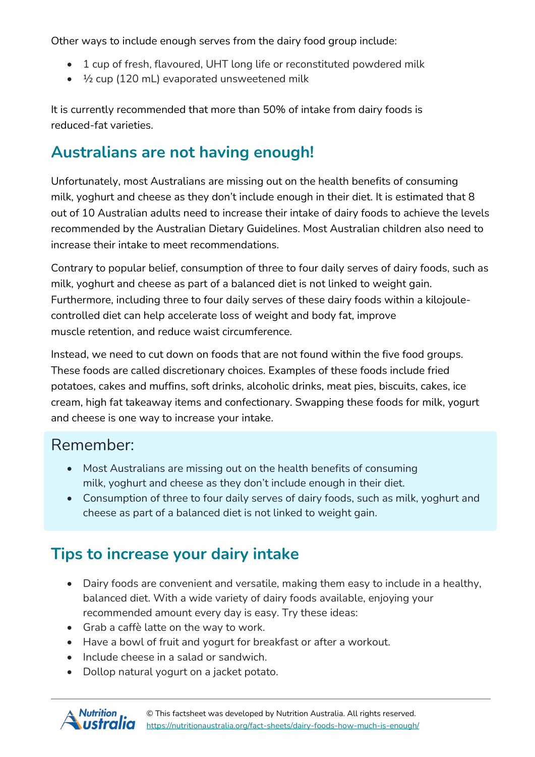Other ways to include enough serves from the dairy food group include:

- 1 cup of fresh, flavoured, UHT long life or reconstituted powdered milk
- $\cdot$   $\frac{1}{2}$  cup (120 mL) evaporated unsweetened milk

It is currently recommended that more than 50% of intake from dairy foods is reduced-fat varieties.

## **Australians are not having enough!**

Unfortunately, most Australians are missing out on the health benefits of consuming milk, yoghurt and cheese as they don't include enough in their diet. It is estimated that 8 out of 10 Australian adults need to increase their intake of dairy foods to achieve the levels recommended by the Australian Dietary Guidelines. Most Australian children also need to increase their intake to meet recommendations.

Contrary to popular belief, consumption of three to four daily serves of dairy foods, such as milk, yoghurt and cheese as part of a balanced diet is not linked to weight gain. Furthermore, including three to four daily serves of these dairy foods within a kilojoulecontrolled diet can help accelerate loss of weight and body fat, improve muscle retention, and reduce waist circumference.

Instead, we need to cut down on foods that are not found within the five food groups. These foods are called discretionary choices. Examples of these foods include fried potatoes, cakes and muffins, soft drinks, alcoholic drinks, meat pies, biscuits, cakes, ice cream, high fat takeaway items and confectionary. Swapping these foods for milk, yogurt and cheese is one way to increase your intake.

#### Remember:

- Most Australians are missing out on the health benefits of consuming milk, yoghurt and cheese as they don't include enough in their diet.
- Consumption of three to four daily serves of dairy foods, such as milk, yoghurt and cheese as part of a balanced diet is not linked to weight gain.

## **Tips to increase your dairy intake**

- Dairy foods are convenient and versatile, making them easy to include in a healthy, balanced diet. With a wide variety of dairy foods available, enjoying your recommended amount every day is easy. Try these ideas:
- Grab a caffè latte on the way to work.
- Have a bowl of fruit and yogurt for breakfast or after a workout.
- Include cheese in a salad or sandwich.
- Dollop natural yogurt on a jacket potato.